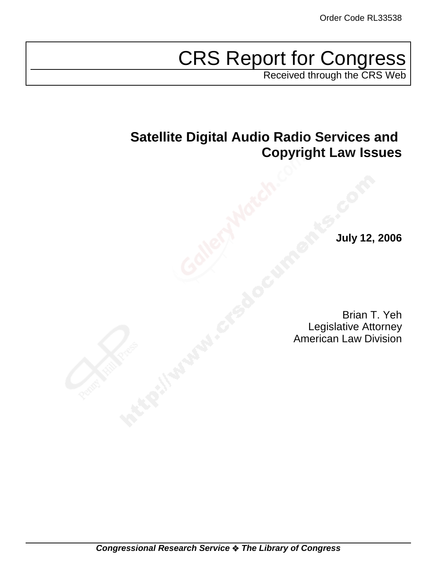# CRS Report for Congress

Received through the CRS Web

# **Satellite Digital Audio Radio Services and Copyright Law Issues**

**July 12, 2006**

Brian T. Yeh Legislative Attorney American Law Division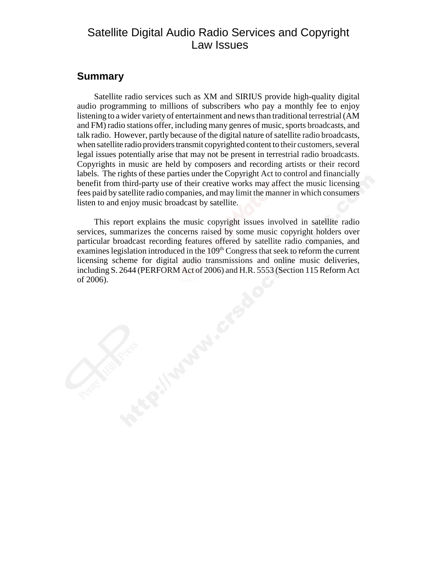# Satellite Digital Audio Radio Services and Copyright Law Issues

# **Summary**

Satellite radio services such as XM and SIRIUS provide high-quality digital audio programming to millions of subscribers who pay a monthly fee to enjoy listening to a wider variety of entertainment and news than traditional terrestrial (AM and FM) radio stations offer, including many genres of music, sports broadcasts, and talk radio. However, partly because of the digital nature of satellite radio broadcasts, when satellite radio providers transmit copyrighted content to their customers, several legal issues potentially arise that may not be present in terrestrial radio broadcasts. Copyrights in music are held by composers and recording artists or their record labels. The rights of these parties under the Copyright Act to control and financially benefit from third-party use of their creative works may affect the music licensing fees paid by satellite radio companies, and may limit the manner in which consumers listen to and enjoy music broadcast by satellite.

This report explains the music copyright issues involved in satellite radio services, summarizes the concerns raised by some music copyright holders over particular broadcast recording features offered by satellite radio companies, and examines legislation introduced in the  $109<sup>th</sup>$  Congress that seek to reform the current licensing scheme for digital audio transmissions and online music deliveries, including S. 2644 (PERFORM Act of 2006) and H.R. 5553 (Section 115 Reform Act of 2006).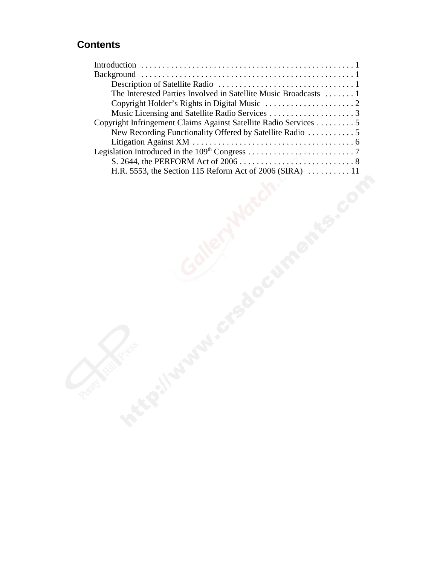# **Contents**

| The Interested Parties Involved in Satellite Music Broadcasts  1<br>Copyright Infringement Claims Against Satellite Radio Services 5<br>New Recording Functionality Offered by Satellite Radio  5<br>H.R. 5553, the Section 115 Reform Act of 2006 (SIRA)  11<br><b>Processity</b> |  |
|------------------------------------------------------------------------------------------------------------------------------------------------------------------------------------------------------------------------------------------------------------------------------------|--|
|                                                                                                                                                                                                                                                                                    |  |
|                                                                                                                                                                                                                                                                                    |  |
|                                                                                                                                                                                                                                                                                    |  |
|                                                                                                                                                                                                                                                                                    |  |
|                                                                                                                                                                                                                                                                                    |  |
|                                                                                                                                                                                                                                                                                    |  |
|                                                                                                                                                                                                                                                                                    |  |
|                                                                                                                                                                                                                                                                                    |  |
|                                                                                                                                                                                                                                                                                    |  |
|                                                                                                                                                                                                                                                                                    |  |
|                                                                                                                                                                                                                                                                                    |  |
|                                                                                                                                                                                                                                                                                    |  |
|                                                                                                                                                                                                                                                                                    |  |
|                                                                                                                                                                                                                                                                                    |  |
|                                                                                                                                                                                                                                                                                    |  |
|                                                                                                                                                                                                                                                                                    |  |
|                                                                                                                                                                                                                                                                                    |  |
|                                                                                                                                                                                                                                                                                    |  |
|                                                                                                                                                                                                                                                                                    |  |
|                                                                                                                                                                                                                                                                                    |  |
|                                                                                                                                                                                                                                                                                    |  |
|                                                                                                                                                                                                                                                                                    |  |
|                                                                                                                                                                                                                                                                                    |  |
|                                                                                                                                                                                                                                                                                    |  |
|                                                                                                                                                                                                                                                                                    |  |
|                                                                                                                                                                                                                                                                                    |  |
|                                                                                                                                                                                                                                                                                    |  |
|                                                                                                                                                                                                                                                                                    |  |
|                                                                                                                                                                                                                                                                                    |  |
|                                                                                                                                                                                                                                                                                    |  |
|                                                                                                                                                                                                                                                                                    |  |
|                                                                                                                                                                                                                                                                                    |  |
|                                                                                                                                                                                                                                                                                    |  |
|                                                                                                                                                                                                                                                                                    |  |
|                                                                                                                                                                                                                                                                                    |  |
|                                                                                                                                                                                                                                                                                    |  |
|                                                                                                                                                                                                                                                                                    |  |
|                                                                                                                                                                                                                                                                                    |  |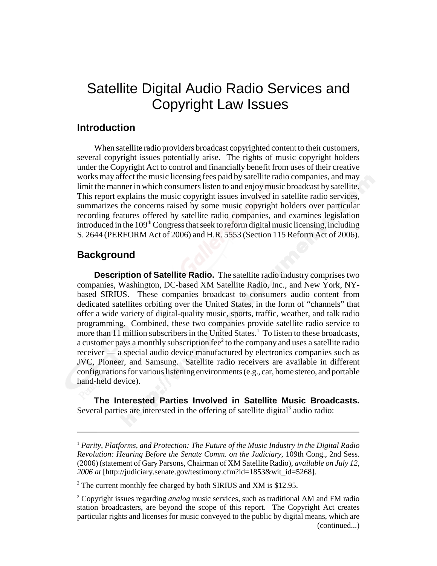# Satellite Digital Audio Radio Services and Copyright Law Issues

## **Introduction**

When satellite radio providers broadcast copyrighted content to their customers, several copyright issues potentially arise. The rights of music copyright holders under the Copyright Act to control and financially benefit from uses of their creative works may affect the music licensing fees paid by satellite radio companies, and may limit the manner in which consumers listen to and enjoy music broadcast by satellite. This report explains the music copyright issues involved in satellite radio services, summarizes the concerns raised by some music copyright holders over particular recording features offered by satellite radio companies, and examines legislation introduced in the  $109<sup>th</sup> Congress$  that seek to reform digital music licensing, including S. 2644 (PERFORM Act of 2006) and H.R. 5553 (Section 115 Reform Act of 2006).

## **Background**

**Description of Satellite Radio.** The satellite radio industry comprises two companies, Washington, DC-based XM Satellite Radio, Inc., and New York, NYbased SIRIUS. These companies broadcast to consumers audio content from dedicated satellites orbiting over the United States, in the form of "channels" that offer a wide variety of digital-quality music, sports, traffic, weather, and talk radio programming. Combined, these two companies provide satellite radio service to more than 11 million subscribers in the United States.<sup>1</sup> To listen to these broadcasts, a customer pays a monthly subscription fee $2$  to the company and uses a satellite radio receiver — a special audio device manufactured by electronics companies such as JVC, Pioneer, and Samsung. Satellite radio receivers are available in different configurations for various listening environments (e.g., car, home stereo, and portable hand-held device).

**The Interested Parties Involved in Satellite Music Broadcasts.** Several parties are interested in the offering of satellite digital<sup>3</sup> audio radio:

<sup>1</sup> *Parity, Platforms, and Protection: The Future of the Music Industry in the Digital Radio Revolution: Hearing Before the Senate Comm. on the Judiciary,* 109th Cong., 2nd Sess. (2006) (statement of Gary Parsons, Chairman of XM Satellite Radio), *available on July 12, 2006 at* [http://judiciary.senate.gov/testimony.cfm?id=1853&wit\_id=5268].

 $2^2$  The current monthly fee charged by both SIRIUS and XM is \$12.95.

<sup>3</sup> Copyright issues regarding *analog* music services, such as traditional AM and FM radio station broadcasters, are beyond the scope of this report. The Copyright Act creates particular rights and licenses for music conveyed to the public by digital means, which are (continued...)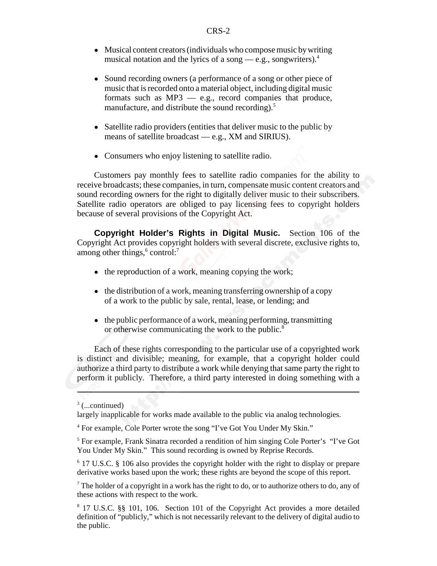- Musical content creators (individuals who compose music by writing musical notation and the lyrics of a song — e.g., songwriters).<sup>4</sup>
- Sound recording owners (a performance of a song or other piece of music that is recorded onto a material object, including digital music formats such as MP3 — e.g., record companies that produce, manufacture, and distribute the sound recording).<sup>5</sup>
- Satellite radio providers (entities that deliver music to the public by means of satellite broadcast — e.g., XM and SIRIUS).
- Consumers who enjoy listening to satellite radio.

Customers pay monthly fees to satellite radio companies for the ability to receive broadcasts; these companies, in turn, compensate music content creators and sound recording owners for the right to digitally deliver music to their subscribers. Satellite radio operators are obliged to pay licensing fees to copyright holders because of several provisions of the Copyright Act.

**Copyright Holder's Rights in Digital Music.** Section 106 of the Copyright Act provides copyright holders with several discrete, exclusive rights to, among other things,<sup>6</sup> control:<sup>7</sup>

- $\bullet$  the reproduction of a work, meaning copying the work;
- the distribution of a work, meaning transferring ownership of a copy of a work to the public by sale, rental, lease, or lending; and
- $\bullet$  the public performance of a work, meaning performing, transmitting or otherwise communicating the work to the public.8

Each of these rights corresponding to the particular use of a copyrighted work is distinct and divisible; meaning, for example, that a copyright holder could authorize a third party to distribute a work while denying that same party the right to perform it publicly. Therefore, a third party interested in doing something with a

 $3$  (...continued)

largely inapplicable for works made available to the public via analog technologies.

<sup>&</sup>lt;sup>4</sup> For example, Cole Porter wrote the song "I've Got You Under My Skin."

<sup>&</sup>lt;sup>5</sup> For example, Frank Sinatra recorded a rendition of him singing Cole Porter's "I've Got You Under My Skin." This sound recording is owned by Reprise Records.

<sup>&</sup>lt;sup>6</sup> 17 U.S.C. § 106 also provides the copyright holder with the right to display or prepare derivative works based upon the work; these rights are beyond the scope of this report.

 $7$  The holder of a copyright in a work has the right to do, or to authorize others to do, any of these actions with respect to the work.

<sup>8</sup> 17 U.S.C. §§ 101, 106. Section 101 of the Copyright Act provides a more detailed definition of "publicly," which is not necessarily relevant to the delivery of digital audio to the public.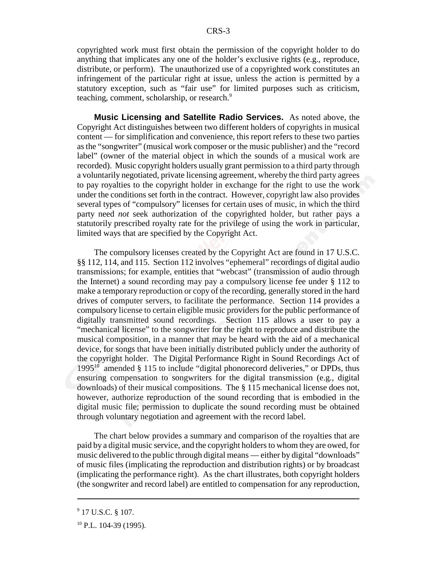copyrighted work must first obtain the permission of the copyright holder to do anything that implicates any one of the holder's exclusive rights (e.g., reproduce, distribute, or perform). The unauthorized use of a copyrighted work constitutes an infringement of the particular right at issue, unless the action is permitted by a statutory exception, such as "fair use" for limited purposes such as criticism, teaching, comment, scholarship, or research.<sup>9</sup>

**Music Licensing and Satellite Radio Services.** As noted above, the Copyright Act distinguishes between two different holders of copyrights in musical content — for simplification and convenience, this report refers to these two parties as the "songwriter" (musical work composer or the music publisher) and the "record label" (owner of the material object in which the sounds of a musical work are recorded). Music copyright holders usually grant permission to a third party through a voluntarily negotiated, private licensing agreement, whereby the third party agrees to pay royalties to the copyright holder in exchange for the right to use the work under the conditions set forth in the contract. However, copyright law also provides several types of "compulsory" licenses for certain uses of music, in which the third party need *not* seek authorization of the copyrighted holder, but rather pays a statutorily prescribed royalty rate for the privilege of using the work in particular, limited ways that are specified by the Copyright Act.

The compulsory licenses created by the Copyright Act are found in 17 U.S.C. §§ 112, 114, and 115. Section 112 involves "ephemeral" recordings of digital audio transmissions; for example, entities that "webcast" (transmission of audio through the Internet) a sound recording may pay a compulsory license fee under § 112 to make a temporary reproduction or copy of the recording, generally stored in the hard drives of computer servers, to facilitate the performance. Section 114 provides a compulsory license to certain eligible music providers for the public performance of digitally transmitted sound recordings. Section 115 allows a user to pay a "mechanical license" to the songwriter for the right to reproduce and distribute the musical composition, in a manner that may be heard with the aid of a mechanical device, for songs that have been initially distributed publicly under the authority of the copyright holder. The Digital Performance Right in Sound Recordings Act of 1995<sup>10</sup> amended  $\S 115$  to include "digital phonorecord deliveries," or DPDs, thus ensuring compensation to songwriters for the digital transmission (e.g., digital downloads) of their musical compositions. The § 115 mechanical license does not, however, authorize reproduction of the sound recording that is embodied in the digital music file; permission to duplicate the sound recording must be obtained through voluntary negotiation and agreement with the record label.

The chart below provides a summary and comparison of the royalties that are paid by a digital music service, and the copyright holders to whom they are owed, for music delivered to the public through digital means — either by digital "downloads" of music files (implicating the reproduction and distribution rights) or by broadcast (implicating the performance right). As the chart illustrates, both copyright holders (the songwriter and record label) are entitled to compensation for any reproduction,

<sup>&</sup>lt;sup>9</sup> 17 U.S.C. § 107.

<sup>&</sup>lt;sup>10</sup> P.L. 104-39 (1995).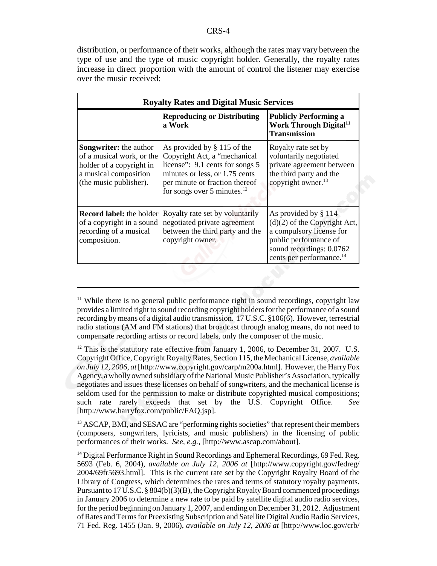distribution, or performance of their works, although the rates may vary between the type of use and the type of music copyright holder. Generally, the royalty rates increase in direct proportion with the amount of control the listener may exercise over the music received:

| <b>Royalty Rates and Digital Music Services</b>                                                                                           |                                                                                                                                                                                                            |                                                                                                                                                                                 |  |
|-------------------------------------------------------------------------------------------------------------------------------------------|------------------------------------------------------------------------------------------------------------------------------------------------------------------------------------------------------------|---------------------------------------------------------------------------------------------------------------------------------------------------------------------------------|--|
|                                                                                                                                           | <b>Reproducing or Distributing</b><br>a Work                                                                                                                                                               | <b>Publicly Performing a</b><br>Work Through Digital <sup>11</sup><br><b>Transmission</b>                                                                                       |  |
| <b>Songwriter:</b> the author<br>of a musical work, or the<br>holder of a copyright in<br>a musical composition<br>(the music publisher). | As provided by $\S$ 115 of the<br>Copyright Act, a "mechanical<br>license": 9.1 cents for songs 5<br>minutes or less, or 1.75 cents<br>per minute or fraction thereof<br>for songs over 5 minutes. $^{12}$ | Royalty rate set by<br>voluntarily negotiated<br>private agreement between<br>the third party and the<br>copyright owner. <sup>13</sup>                                         |  |
| <b>Record label:</b> the holder<br>of a copyright in a sound<br>recording of a musical<br>composition.                                    | Royalty rate set by voluntarily<br>negotiated private agreement<br>between the third party and the<br>copyright owner.                                                                                     | As provided by § 114<br>$(d)(2)$ of the Copyright Act,<br>a compulsory license for<br>public performance of<br>sound recordings: 0.0762<br>cents per performance. <sup>14</sup> |  |

<sup>13</sup> ASCAP, BMI, and SESAC are "performing rights societies" that represent their members (composers, songwriters, lyricists, and music publishers) in the licensing of public performances of their works. *See, e.g.,* [http://www.ascap.com/about].

<sup>&</sup>lt;sup>11</sup> While there is no general public performance right in sound recordings, copyright law provides a limited right to sound recording copyright holders for the performance of a sound recording by means of a digital audio transmission. 17 U.S.C. §106(6). However, terrestrial radio stations (AM and FM stations) that broadcast through analog means, do not need to compensate recording artists or record labels, only the composer of the music.

 $12$  This is the statutory rate effective from January 1, 2006, to December 31, 2007. U.S. Copyright Office, Copyright Royalty Rates, Section 115, the Mechanical License, *available on July 12, 2006, at* [http://www.copyright.gov/carp/m200a.html]. However, the Harry Fox Agency, a wholly owned subsidiary of the National Music Publisher's Association, typically negotiates and issues these licenses on behalf of songwriters, and the mechanical license is seldom used for the permission to make or distribute copyrighted musical compositions; such rate rarely exceeds that set by the U.S. Copyright Office. *See* [http://www.harryfox.com/public/FAQ.jsp].

<sup>&</sup>lt;sup>14</sup> Digital Performance Right in Sound Recordings and Ephemeral Recordings, 69 Fed. Reg. 5693 (Feb. 6, 2004), *available on July 12, 2006 at* [http://www.copyright.gov/fedreg/ 2004/69fr5693.html]. This is the current rate set by the Copyright Royalty Board of the Library of Congress, which determines the rates and terms of statutory royalty payments. Pursuant to 17 U.S.C. § 804(b)(3)(B), the Copyright Royalty Board commenced proceedings in January 2006 to determine a new rate to be paid by satellite digital audio radio services, for the period beginning on January 1, 2007, and ending on December 31, 2012. Adjustment of Rates and Terms for Preexisting Subscription and Satellite Digital Audio Radio Services, 71 Fed. Reg. 1455 (Jan. 9, 2006), *available on July 12, 2006 at* [http://www.loc.gov/crb/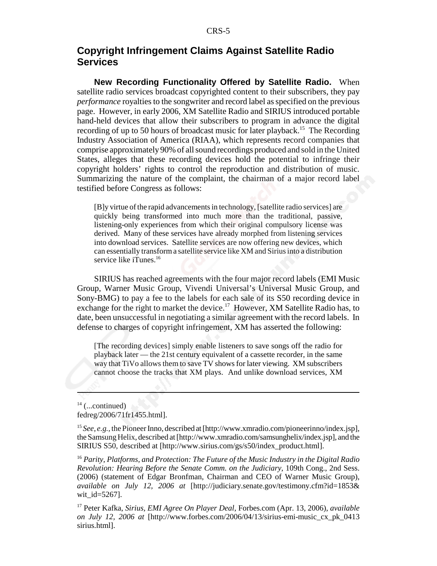# **Copyright Infringement Claims Against Satellite Radio Services**

**New Recording Functionality Offered by Satellite Radio.** When satellite radio services broadcast copyrighted content to their subscribers, they pay *performance* royalties to the songwriter and record label as specified on the previous page. However, in early 2006, XM Satellite Radio and SIRIUS introduced portable hand-held devices that allow their subscribers to program in advance the digital recording of up to 50 hours of broadcast music for later playback.<sup>15</sup> The Recording Industry Association of America (RIAA), which represents record companies that comprise approximately 90% of all sound recordings produced and sold in the United States, alleges that these recording devices hold the potential to infringe their copyright holders' rights to control the reproduction and distribution of music. Summarizing the nature of the complaint, the chairman of a major record label testified before Congress as follows:

[B]y virtue of the rapid advancements in technology, [satellite radio services] are quickly being transformed into much more than the traditional, passive, listening-only experiences from which their original compulsory license was derived. Many of these services have already morphed from listening services into download services. Satellite services are now offering new devices, which can essentially transform a satellite service like XM and Sirius into a distribution service like iTunes.<sup>16</sup>

SIRIUS has reached agreements with the four major record labels (EMI Music Group, Warner Music Group, Vivendi Universal's Universal Music Group, and Sony-BMG) to pay a fee to the labels for each sale of its S50 recording device in exchange for the right to market the device.<sup>17</sup> However, XM Satellite Radio has, to date, been unsuccessful in negotiating a similar agreement with the record labels. In defense to charges of copyright infringement, XM has asserted the following:

[The recording devices] simply enable listeners to save songs off the radio for playback later — the 21st century equivalent of a cassette recorder, in the same way that TiVo allows them to save TV shows for later viewing. XM subscribers cannot choose the tracks that XM plays. And unlike download services, XM

 $14$  (...continued) fedreg/2006/71fr1455.html].

<sup>15</sup> See, e.g., the Pioneer Inno, described at [http://www.xmradio.com/pioneerinno/index.jsp], the Samsung Helix, described at [http://www.xmradio.com/samsunghelix/index.jsp], and the SIRIUS S50, described at [http://www.sirius.com/gs/s50/index\_product.html].

<sup>16</sup> *Parity, Platforms, and Protection: The Future of the Music Industry in the Digital Radio Revolution: Hearing Before the Senate Comm. on the Judiciary*, 109th Cong., 2nd Sess. (2006) (statement of Edgar Bronfman, Chairman and CEO of Warner Music Group), *available on July 12, 2006 at* [http://judiciary.senate.gov/testimony.cfm?id=1853& wit\_id=5267].

17 Peter Kafka, *Sirius, EMI Agree On Player Deal*, Forbes.com (Apr. 13, 2006), *available on July 12, 2006 at* [http://www.forbes.com/2006/04/13/sirius-emi-music\_cx\_pk\_0413 sirius.html].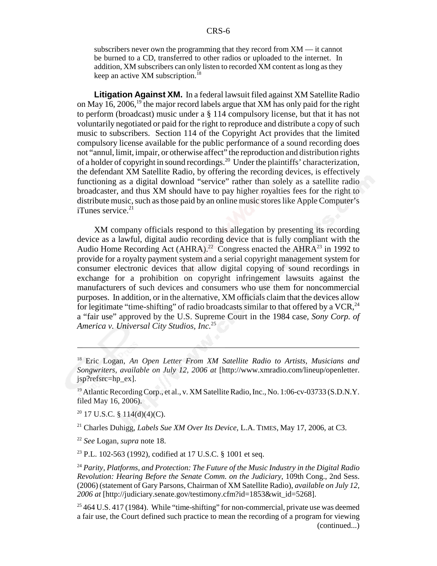subscribers never own the programming that they record from XM — it cannot be burned to a CD, transferred to other radios or uploaded to the internet. In addition, XM subscribers can only listen to recorded XM content as long as they keep an active XM subscription.<sup>18</sup>

**Litigation Against XM.** In a federal lawsuit filed against XM Satellite Radio on May 16, 2006,<sup>19</sup> the major record labels argue that XM has only paid for the right to perform (broadcast) music under a § 114 compulsory license, but that it has not voluntarily negotiated or paid for the right to reproduce and distribute a copy of such music to subscribers. Section 114 of the Copyright Act provides that the limited compulsory license available for the public performance of a sound recording does not "annul, limit, impair, or otherwise affect" the reproduction and distribution rights of a holder of copyright in sound recordings.20 Under the plaintiffs' characterization, the defendant XM Satellite Radio, by offering the recording devices, is effectively functioning as a digital download "service" rather than solely as a satellite radio broadcaster, and thus XM should have to pay higher royalties fees for the right to distribute music, such as those paid by an online music stores like Apple Computer's  $i$ Tunes service.<sup>21</sup>

XM company officials respond to this allegation by presenting its recording device as a lawful, digital audio recording device that is fully compliant with the Audio Home Recording Act (AHRA).<sup>22</sup> Congress enacted the AHRA<sup>23</sup> in 1992 to provide for a royalty payment system and a serial copyright management system for consumer electronic devices that allow digital copying of sound recordings in exchange for a prohibition on copyright infringement lawsuits against the manufacturers of such devices and consumers who use them for noncommercial purposes. In addition, or in the alternative, XM officials claim that the devices allow for legitimate "time-shifting" of radio broadcasts similar to that offered by a  $VCR$ ,  $^{24}$ a "fair use" approved by the U.S. Supreme Court in the 1984 case, *Sony Corp. of America v. Universal City Studios, Inc.*25

 $20$  17 U.S.C. § 114(d)(4)(C).

21 Charles Duhigg, *Labels Sue XM Over Its Device,* L.A. TIMES, May 17, 2006, at C3.

<sup>22</sup> *See* Logan, *supra* note 18.

23 P.L. 102-563 (1992), codified at 17 U.S.C. § 1001 et seq.

<sup>24</sup> *Parity, Platforms, and Protection: The Future of the Music Industry in the Digital Radio Revolution: Hearing Before the Senate Comm. on the Judiciary*, 109th Cong., 2nd Sess. (2006) (statement of Gary Parsons, Chairman of XM Satellite Radio), *available on July 12, 2006 at* [http://judiciary.senate.gov/testimony.cfm?id=1853&wit\_id=5268].

 $25464$  U.S. 417 (1984). While "time-shifting" for non-commercial, private use was deemed a fair use, the Court defined such practice to mean the recording of a program for viewing (continued...)

<sup>18</sup> Eric Logan, *An Open Letter From XM Satellite Radio to Artists, Musicians and Songwriters, available on July 12, 2006 at* [http://www.xmradio.com/lineup/openletter. jsp?refsrc=hp\_ex].

<sup>&</sup>lt;sup>19</sup> Atlantic Recording Corp., et al., v. XM Satellite Radio, Inc., No. 1:06-cv-03733 (S.D.N.Y. filed May 16, 2006).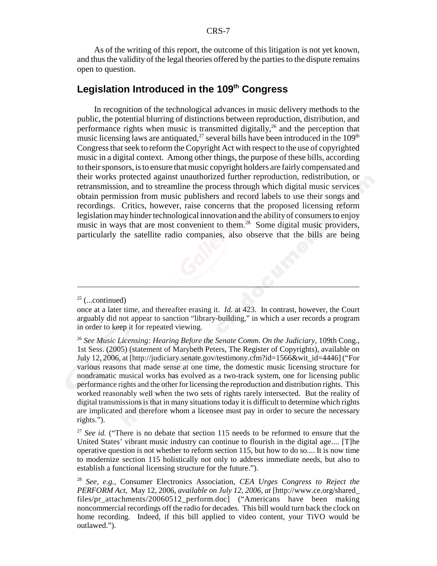As of the writing of this report, the outcome of this litigation is not yet known, and thus the validity of the legal theories offered by the parties to the dispute remains open to question.

# **Legislation Introduced in the 109th Congress**

In recognition of the technological advances in music delivery methods to the public, the potential blurring of distinctions between reproduction, distribution, and performance rights when music is transmitted digitally,<sup>26</sup> and the perception that music licensing laws are antiquated,<sup>27</sup> several bills have been introduced in the  $109<sup>th</sup>$ Congress that seek to reform the Copyright Act with respect to the use of copyrighted music in a digital context. Among other things, the purpose of these bills, according to their sponsors, is to ensure that music copyright holders are fairly compensated and their works protected against unauthorized further reproduction, redistribution, or retransmission, and to streamline the process through which digital music services obtain permission from music publishers and record labels to use their songs and recordings. Critics, however, raise concerns that the proposed licensing reform legislation may hinder technological innovation and the ability of consumers to enjoy music in ways that are most convenient to them.<sup>28</sup> Some digital music providers, particularly the satellite radio companies, also observe that the bills are being

 $25$  (...continued)

once at a later time, and thereafter erasing it. *Id.* at 423. In contrast, however, the Court arguably did not appear to sanction "library-building," in which a user records a program in order to keep it for repeated viewing.

<sup>26</sup> *See Music Licensing: Hearing Before the Senate Comm. On the Judiciary,* 109th Cong., 1st Sess. (2005) (statement of Marybeth Peters, The Register of Copyrights), available on July 12, 2006, at [http://judiciary.senate.gov/testimony.cfm?id=1566&wit\_id=4446] ("For various reasons that made sense at one time, the domestic music licensing structure for nondramatic musical works has evolved as a two-track system, one for licensing public performance rights and the other for licensing the reproduction and distribution rights. This worked reasonably well when the two sets of rights rarely intersected. But the reality of digital transmissions is that in many situations today it is difficult to determine which rights are implicated and therefore whom a licensee must pay in order to secure the necessary rights.").

<sup>&</sup>lt;sup>27</sup> See id. ("There is no debate that section 115 needs to be reformed to ensure that the United States' vibrant music industry can continue to flourish in the digital age.... [T]he operative question is not whether to reform section 115, but how to do so.... It is now time to modernize section 115 holistically not only to address immediate needs, but also to establish a functional licensing structure for the future.").

<sup>28</sup> *See, e.g.,* Consumer Electronics Association, *CEA Urges Congress to Reject the PERFORM Act,* May 12, 2006, *available on July 12, 2006, at* [http://www.ce.org/shared\_ files/pr\_attachments/20060512\_perform.doc] ("Americans have been making noncommercial recordings off the radio for decades. This bill would turn back the clock on home recording. Indeed, if this bill applied to video content, your TiVO would be outlawed.").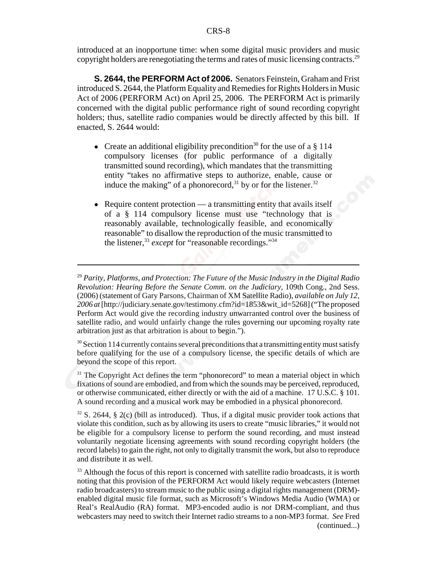introduced at an inopportune time: when some digital music providers and music copyright holders are renegotiating the terms and rates of music licensing contracts.<sup>29</sup>

**S. 2644, the PERFORM Act of 2006.** Senators Feinstein, Graham and Frist introduced S. 2644, the Platform Equality and Remedies for Rights Holders in Music Act of 2006 (PERFORM Act) on April 25, 2006. The PERFORM Act is primarily concerned with the digital public performance right of sound recording copyright holders; thus, satellite radio companies would be directly affected by this bill. If enacted, S. 2644 would:

- Create an additional eligibility precondition<sup>30</sup> for the use of a  $\S$  114 compulsory licenses (for public performance of a digitally transmitted sound recording), which mandates that the transmitting entity "takes no affirmative steps to authorize, enable, cause or induce the making" of a phonorecord,<sup>31</sup> by or for the listener.<sup>32</sup>
- $\bullet$  Require content protection a transmitting entity that avails itself of a § 114 compulsory license must use "technology that is reasonably available, technologically feasible, and economically reasonable" to disallow the reproduction of the music transmitted to the listener,<sup>33</sup> *except* for "reasonable recordings."<sup>34</sup>

 $30$  Section 114 currently contains several preconditions that a transmitting entity must satisfy before qualifying for the use of a compulsory license, the specific details of which are beyond the scope of this report.

 $31$  The Copyright Act defines the term "phonorecord" to mean a material object in which fixations of sound are embodied, and from which the sounds may be perceived, reproduced, or otherwise communicated, either directly or with the aid of a machine. 17 U.S.C. § 101. A sound recording and a musical work may be embodied in a physical phonorecord.

 $32$  S. 2644, § 2(c) (bill as introduced). Thus, if a digital music provider took actions that violate this condition, such as by allowing its users to create "music libraries," it would not be eligible for a compulsory license to perform the sound recording, and must instead voluntarily negotiate licensing agreements with sound recording copyright holders (the record labels) to gain the right, not only to digitally transmit the work, but also to reproduce and distribute it as well.

 $33$  Although the focus of this report is concerned with satellite radio broadcasts, it is worth noting that this provision of the PERFORM Act would likely require webcasters (Internet radio broadcasters) to stream music to the public using a digital rights management (DRM) enabled digital music file format, such as Microsoft's Windows Media Audio (WMA) or Real's RealAudio (RA) format. MP3-encoded audio is *not* DRM-compliant, and thus webcasters may need to switch their Internet radio streams to a non-MP3 format. *See* Fred (continued...)

<sup>29</sup> *Parity, Platforms, and Protection: The Future of the Music Industry in the Digital Radio Revolution: Hearing Before the Senate Comm. on the Judiciary,* 109th Cong., 2nd Sess. (2006) (statement of Gary Parsons, Chairman of XM Satellite Radio), *available on July 12, 2006 at* [http://judiciary.senate.gov/testimony.cfm?id=1853&wit\_id=5268] ("The proposed Perform Act would give the recording industry unwarranted control over the business of satellite radio, and would unfairly change the rules governing our upcoming royalty rate arbitration just as that arbitration is about to begin.").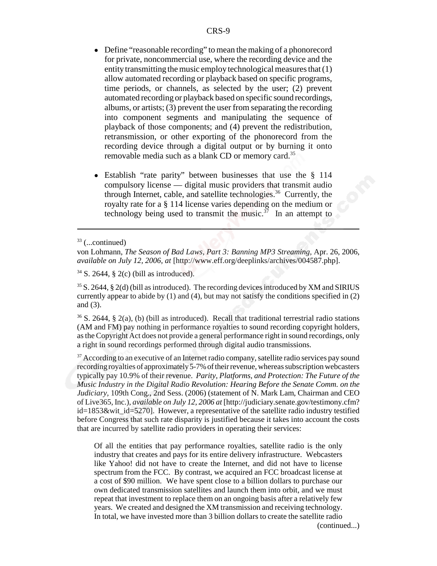- Define "reasonable recording" to mean the making of a phonorecord for private, noncommercial use, where the recording device and the entity transmitting the music employ technological measures that (1) allow automated recording or playback based on specific programs, time periods, or channels, as selected by the user; (2) prevent automated recording or playback based on specific sound recordings, albums, or artists; (3) prevent the user from separating the recording into component segments and manipulating the sequence of playback of those components; and (4) prevent the redistribution, retransmission, or other exporting of the phonorecord from the recording device through a digital output or by burning it onto removable media such as a blank CD or memory card.35
- Establish "rate parity" between businesses that use the § 114 compulsory license — digital music providers that transmit audio through Internet, cable, and satellite technologies.36 Currently, the royalty rate for a § 114 license varies depending on the medium or technology being used to transmit the music.<sup>37</sup> In an attempt to

36 S. 2644, § 2(a), (b) (bill as introduced). Recall that traditional terrestrial radio stations (AM and FM) pay nothing in performance royalties to sound recording copyright holders, as the Copyright Act does not provide a general performance right in sound recordings, only a right in sound recordings performed through digital audio transmissions.

 $37$  According to an executive of an Internet radio company, satellite radio services pay sound recording royalties of approximately 5-7% of their revenue, whereas subscription webcasters typically pay 10.9% of their revenue. *Parity, Platforms, and Protection: The Future of the Music Industry in the Digital Radio Revolution: Hearing Before the Senate Comm. on the Judiciary,* 109th Cong., 2nd Sess. (2006) (statement of N. Mark Lam, Chairman and CEO of Live365, Inc.), *available on July 12, 2006 at* [http://judiciary.senate.gov/testimony.cfm?  $id=1853$ &wit  $id=5270$ . However, a representative of the satellite radio industry testified before Congress that such rate disparity is justified because it takes into account the costs that are incurred by satellite radio providers in operating their services:

Of all the entities that pay performance royalties, satellite radio is the only industry that creates and pays for its entire delivery infrastructure. Webcasters like Yahoo! did not have to create the Internet, and did not have to license spectrum from the FCC. By contrast, we acquired an FCC broadcast license at a cost of \$90 million. We have spent close to a billion dollars to purchase our own dedicated transmission satellites and launch them into orbit, and we must repeat that investment to replace them on an ongoing basis after a relatively few years. We created and designed the XM transmission and receiving technology. In total, we have invested more than 3 billion dollars to create the satellite radio

(continued...)

 $33$  (...continued)

von Lohmann, *The Season of Bad Laws, Part 3: Banning MP3 Streaming,* Apr. 26, 2006, *available on July 12, 2006, at* [http://www.eff.org/deeplinks/archives/004587.php].

 $34$  S. 2644, § 2(c) (bill as introduced).

 $35$  S. 2644, § 2(d) (bill as introduced). The recording devices introduced by XM and SIRIUS currently appear to abide by  $(1)$  and  $(4)$ , but may not satisfy the conditions specified in  $(2)$ and (3).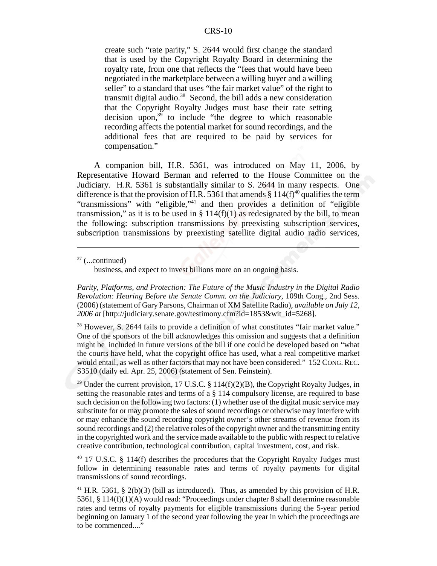#### CRS-10

create such "rate parity," S. 2644 would first change the standard that is used by the Copyright Royalty Board in determining the royalty rate, from one that reflects the "fees that would have been negotiated in the marketplace between a willing buyer and a willing seller" to a standard that uses "the fair market value" of the right to transmit digital audio.<sup>38</sup> Second, the bill adds a new consideration that the Copyright Royalty Judges must base their rate setting decision upon, $39$  to include "the degree to which reasonable recording affects the potential market for sound recordings, and the additional fees that are required to be paid by services for compensation."

A companion bill, H.R. 5361, was introduced on May 11, 2006, by Representative Howard Berman and referred to the House Committee on the Judiciary. H.R. 5361 is substantially similar to S. 2644 in many respects. One difference is that the provision of H.R. 5361 that amends  $§$  114(f)<sup>40</sup> qualifies the term "transmissions" with "eligible,"<sup>41</sup> and then provides a definition of "eligible" transmission," as it is to be used in  $\S 114(f)(1)$  as redesignated by the bill, to mean the following: subscription transmissions by preexisting subscription services, subscription transmissions by preexisting satellite digital audio radio services,

business, and expect to invest billions more on an ongoing basis.

*Parity, Platforms, and Protection: The Future of the Music Industry in the Digital Radio Revolution: Hearing Before the Senate Comm. on the Judiciary,* 109th Cong., 2nd Sess. (2006) (statement of Gary Parsons, Chairman of XM Satellite Radio), *available on July 12, 2006 at* [http://judiciary.senate.gov/testimony.cfm?id=1853&wit\_id=5268].

<sup>38</sup> However, S. 2644 fails to provide a definition of what constitutes "fair market value." One of the sponsors of the bill acknowledges this omission and suggests that a definition might be included in future versions of the bill if one could be developed based on "what the courts have held, what the copyright office has used, what a real competitive market would entail, as well as other factors that may not have been considered." 152 CONG.REC. S3510 (daily ed. Apr. 25, 2006) (statement of Sen. Feinstein).

 $39$  Under the current provision, 17 U.S.C. § 114(f)(2)(B), the Copyright Royalty Judges, in setting the reasonable rates and terms of a  $\S$  114 compulsory license, are required to base such decision on the following two factors: (1) whether use of the digital music service may substitute for or may promote the sales of sound recordings or otherwise may interfere with or may enhance the sound recording copyright owner's other streams of revenue from its sound recordings and (2) the relative roles of the copyright owner and the transmitting entity in the copyrighted work and the service made available to the public with respect to relative creative contribution, technological contribution, capital investment, cost, and risk.

 $40$  17 U.S.C. § 114(f) describes the procedures that the Copyright Royalty Judges must follow in determining reasonable rates and terms of royalty payments for digital transmissions of sound recordings.

 $41$  H.R. 5361, § 2(b)(3) (bill as introduced). Thus, as amended by this provision of H.R. 5361, § 114(f)(1)(A) would read: "Proceedings under chapter 8 shall determine reasonable rates and terms of royalty payments for eligible transmissions during the 5-year period beginning on January 1 of the second year following the year in which the proceedings are to be commenced...."

 $37$  (...continued)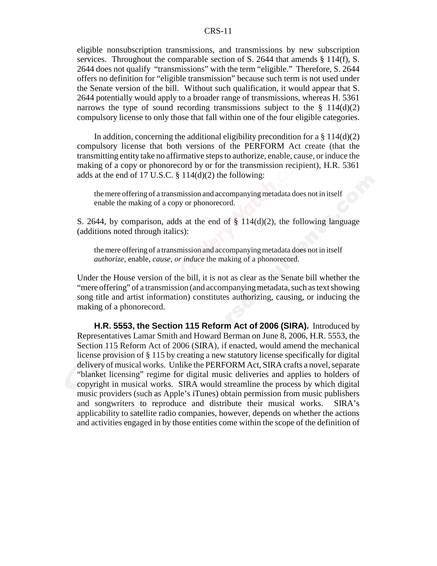#### CRS-11

eligible nonsubscription transmissions, and transmissions by new subscription services. Throughout the comparable section of S. 2644 that amends § 114(f), S. 2644 does not qualify "transmissions" with the term "eligible." Therefore, S. 2644 offers no definition for "eligible transmission" because such term is not used under the Senate version of the bill. Without such qualification, it would appear that S. 2644 potentially would apply to a broader range of transmissions, whereas H. 5361 narrows the type of sound recording transmissions subject to the  $\S$  114(d)(2) compulsory license to only those that fall within one of the four eligible categories.

In addition, concerning the additional eligibility precondition for a  $\S 114(d)(2)$ compulsory license that both versions of the PERFORM Act create (that the transmitting entity take no affirmative steps to authorize, enable, cause, or induce the making of a copy or phonorecord by or for the transmission recipient), H.R. 5361 adds at the end of 17 U.S.C.  $\S$  114(d)(2) the following:

the mere offering of a transmission and accompanying metadata does not in itself enable the making of a copy or phonorecord.

S. 2644, by comparison, adds at the end of  $\S$  114(d)(2), the following language (additions noted through italics):

the mere offering of a transmission and accompanying metadata does not in itself *authorize*, enable, *cause, or induce* the making of a phonorecord.

Under the House version of the bill, it is not as clear as the Senate bill whether the "mere offering" of a transmission (and accompanying metadata, such as text showing song title and artist information) constitutes authorizing, causing, or inducing the making of a phonorecord.

**H.R. 5553, the Section 115 Reform Act of 2006 (SIRA).** Introduced by Representatives Lamar Smith and Howard Berman on June 8, 2006, H.R. 5553, the Section 115 Reform Act of 2006 (SIRA), if enacted, would amend the mechanical license provision of § 115 by creating a new statutory license specifically for digital delivery of musical works. Unlike the PERFORM Act, SIRA crafts a novel, separate "blanket licensing" regime for digital music deliveries and applies to holders of copyright in musical works. SIRA would streamline the process by which digital music providers (such as Apple's iTunes) obtain permission from music publishers and songwriters to reproduce and distribute their musical works. SIRA's applicability to satellite radio companies, however, depends on whether the actions and activities engaged in by those entities come within the scope of the definition of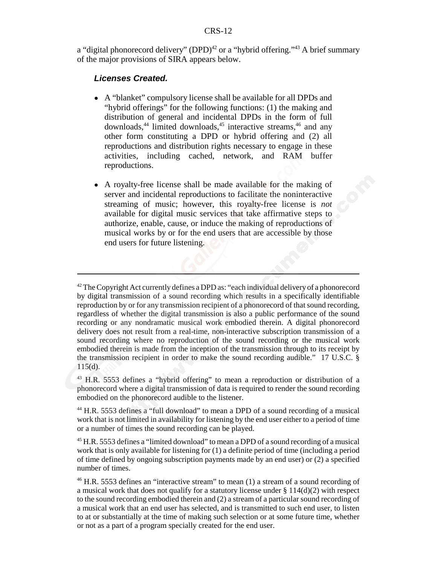a "digital phonorecord delivery" (DPD)<sup>42</sup> or a "hybrid offering."<sup>43</sup> A brief summary of the major provisions of SIRA appears below.

## *Licenses Created.*

- ! A "blanket" compulsory license shall be available for all DPDs and "hybrid offerings" for the following functions: (1) the making and distribution of general and incidental DPDs in the form of full downloads,<sup>44</sup> limited downloads,<sup>45</sup> interactive streams,  $46$  and any other form constituting a DPD or hybrid offering and (2) all reproductions and distribution rights necessary to engage in these activities, including cached, network, and RAM buffer reproductions.
- ! A royalty-free license shall be made available for the making of server and incidental reproductions to facilitate the noninteractive streaming of music; however, this royalty-free license is *not* available for digital music services that take affirmative steps to authorize, enable, cause, or induce the making of reproductions of musical works by or for the end users that are accessible by those end users for future listening.

 $42$  The Copyright Act currently defines a DPD as: "each individual delivery of a phonorecord by digital transmission of a sound recording which results in a specifically identifiable reproduction by or for any transmission recipient of a phonorecord of that sound recording, regardless of whether the digital transmission is also a public performance of the sound recording or any nondramatic musical work embodied therein. A digital phonorecord delivery does not result from a real-time, non-interactive subscription transmission of a sound recording where no reproduction of the sound recording or the musical work embodied therein is made from the inception of the transmission through to its receipt by the transmission recipient in order to make the sound recording audible." 17 U.S.C. §  $115(d)$ .

<sup>43</sup> H.R. 5553 defines a "hybrid offering" to mean a reproduction or distribution of a phonorecord where a digital transmission of data is required to render the sound recording embodied on the phonorecord audible to the listener.

<sup>44</sup> H.R. 5553 defines a "full download" to mean a DPD of a sound recording of a musical work that is not limited in availability for listening by the end user either to a period of time or a number of times the sound recording can be played.

<sup>&</sup>lt;sup>45</sup> H.R. 5553 defines a "limited download" to mean a DPD of a sound recording of a musical work that is only available for listening for (1) a definite period of time (including a period of time defined by ongoing subscription payments made by an end user) or (2) a specified number of times.

<sup>&</sup>lt;sup>46</sup> H.R. 5553 defines an "interactive stream" to mean (1) a stream of a sound recording of a musical work that does not qualify for a statutory license under  $\S 114(d)(2)$  with respect to the sound recording embodied therein and (2) a stream of a particular sound recording of a musical work that an end user has selected, and is transmitted to such end user, to listen to at or substantially at the time of making such selection or at some future time, whether or not as a part of a program specially created for the end user.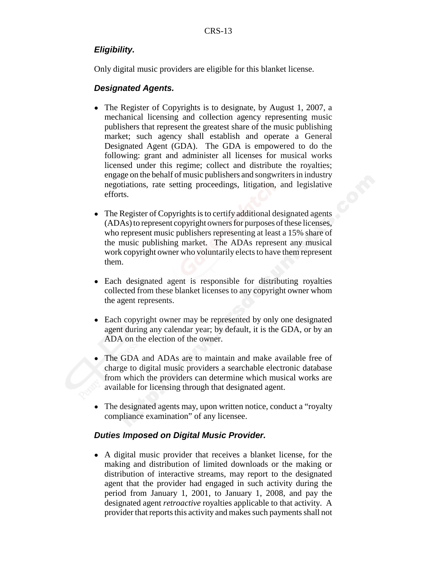## *Eligibility.*

Only digital music providers are eligible for this blanket license.

## *Designated Agents.*

- The Register of Copyrights is to designate, by August 1, 2007, a mechanical licensing and collection agency representing music publishers that represent the greatest share of the music publishing market; such agency shall establish and operate a General Designated Agent (GDA). The GDA is empowered to do the following: grant and administer all licenses for musical works licensed under this regime; collect and distribute the royalties; engage on the behalf of music publishers and songwriters in industry negotiations, rate setting proceedings, litigation, and legislative efforts.
- The Register of Copyrights is to certify additional designated agents (ADAs) to represent copyright owners for purposes of these licenses, who represent music publishers representing at least a 15% share of the music publishing market. The ADAs represent any musical work copyright owner who voluntarily elects to have them represent them.
- Each designated agent is responsible for distributing royalties collected from these blanket licenses to any copyright owner whom the agent represents.
- Each copyright owner may be represented by only one designated agent during any calendar year; by default, it is the GDA, or by an ADA on the election of the owner.
- The GDA and ADAs are to maintain and make available free of charge to digital music providers a searchable electronic database from which the providers can determine which musical works are available for licensing through that designated agent.
- The designated agents may, upon written notice, conduct a "royalty" compliance examination" of any licensee.

## *Duties Imposed on Digital Music Provider.*

• A digital music provider that receives a blanket license, for the making and distribution of limited downloads or the making or distribution of interactive streams, may report to the designated agent that the provider had engaged in such activity during the period from January 1, 2001, to January 1, 2008, and pay the designated agent *retroactive* royalties applicable to that activity. A provider that reports this activity and makes such payments shall not